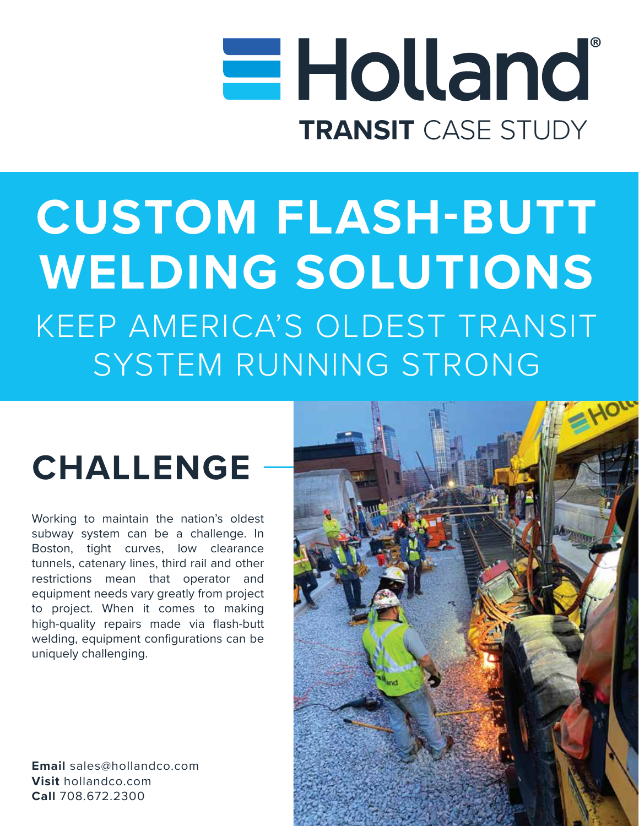# **Holland TRANSIT** CASE STUDY

## **CUSTOM FLASH-BUTT WELDING SOLUTIONS** KEEP AMERICA'S OLDEST TRANSIT SYSTEM RUNNING STRONG

### **CHALLENGE**

Working to maintain the nation's oldest subway system can be a challenge. In Boston, tight curves, low clearance tunnels, catenary lines, third rail and other restrictions mean that operator and equipment needs vary greatly from project to project. When it comes to making high-quality repairs made via flash-butt welding, equipment configurations can be uniquely challenging.

**Email** sales@hollandco.com **Visit** hollandco.com **Call** 708.672.2300

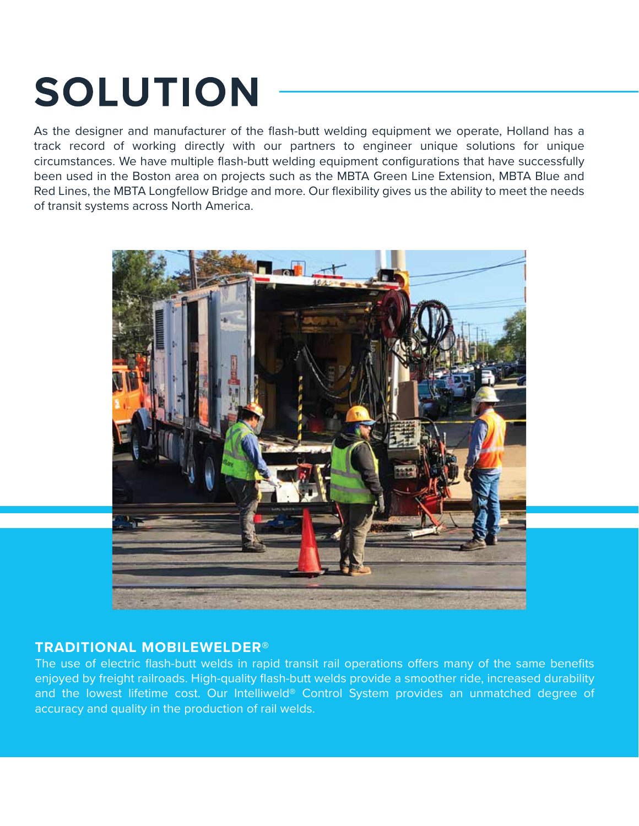## **SOLUTION**

As the designer and manufacturer of the flash-butt welding equipment we operate, Holland has a track record of working directly with our partners to engineer unique solutions for unique circumstances. We have multiple flash-butt welding equipment configurations that have successfully been used in the Boston area on projects such as the MBTA Green Line Extension, MBTA Blue and Red Lines, the MBTA Longfellow Bridge and more. Our flexibility gives us the ability to meet the needs of transit systems across North America.



#### **TRADITIONAL MOBILEWELDER®**

The use of electric flash-butt welds in rapid transit rail operations offers many of the same benefits enjoyed by freight railroads. High-quality flash-butt welds provide a smoother ride, increased durability and the lowest lifetime cost. Our Intelliweld® Control System provides an unmatched degree of accuracy and quality in the production of rail welds.